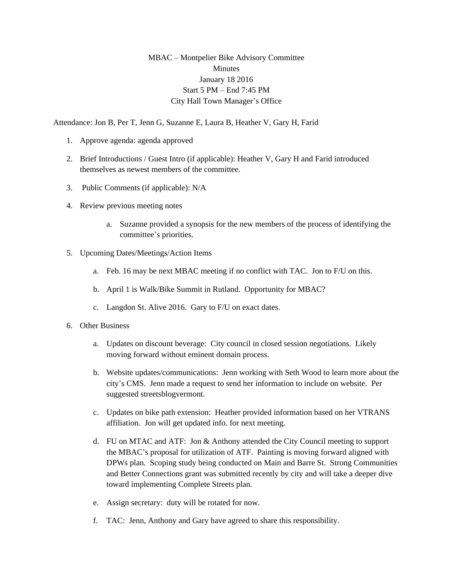## MBAC – Montpelier Bike Advisory Committee **Minutes** January 18 2016 Start 5 PM – End 7:45 PM City Hall Town Manager's Office

Attendance: Jon B, Per T, Jenn G, Suzanne E, Laura B, Heather V, Gary H, Farid

- 1. Approve agenda: agenda approved
- 2. Brief Introductions / Guest Intro (if applicable): Heather V, Gary H and Farid introduced themselves as newest members of the committee.
- 3. Public Comments (if applicable): N/A
- 4. Review previous meeting notes
	- a. Suzanne provided a synopsis for the new members of the process of identifying the committee's priorities.
- 5. Upcoming Dates/Meetings/Action Items
	- a. Feb. 16 may be next MBAC meeting if no conflict with TAC. Jon to F/U on this.
	- b. April 1 is Walk/Bike Summit in Rutland. Opportunity for MBAC?
	- c. Langdon St. Alive 2016. Gary to F/U on exact dates.
- 6. Other Business
	- a. Updates on discount beverage: City council in closed session negotiations. Likely moving forward without eminent domain process.
	- b. Website updates/communications: Jenn working with Seth Wood to learn more about the city's CMS. Jenn made a request to send her information to include on website. Per suggested streetsblogvermont.
	- c. Updates on bike path extension: Heather provided information based on her VTRANS affiliation. Jon will get updated info. for next meeting.
	- d. FU on MTAC and ATF: Jon & Anthony attended the City Council meeting to support the MBAC's proposal for utilization of ATF. Painting is moving forward aligned with DPWs plan. Scoping study being conducted on Main and Barre St. Strong Communities and Better Connections grant was submitted recently by city and will take a deeper dive toward implementing Complete Streets plan.
	- e. Assign secretary: duty will be rotated for now.
	- f. TAC: Jenn, Anthony and Gary have agreed to share this responsibility.